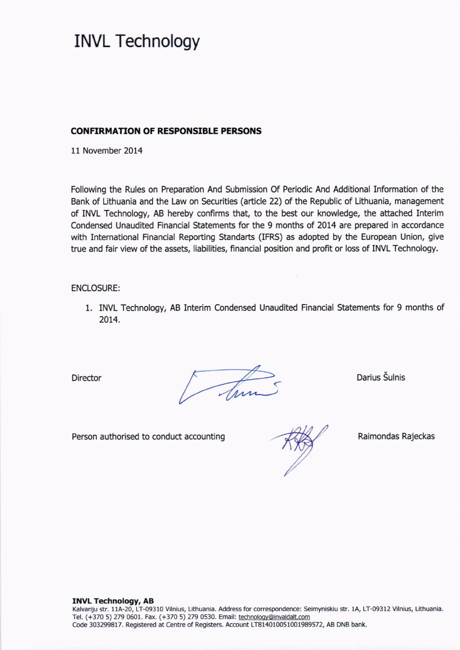# INVL Technology

# CONFIRMATION OF RESPONSIBLE PERSONS

11 November 2014

Following the Rules on Preparation And Submission Of Periodic And Additional Information of the Bank of Lithuania and the Law on Securities (article 22) of the Republic of Lithuania, management of INVL Technology, AB hereby confirms that, to the best our knowledge, the attached Interim Condensed Unaudited Financial Statements for the 9 months of 2014 are prepared in accordance with International Financial Reporting Standarts (IFRS) as adopted by the European Union, give true and fair view of the assets, liabilities, financial position and profit or loss of INVL Technology.

# ENCLOSURE:

1. INVL Technology, AB Interim Condensed Unaudited Financial Statements for 9 months of 20t4.

Director Darius Šulnis

Person authorised to conduct accounting Raimondas Rajeckas

#### INVL Technology, AB

Kalvariju str. 11A-20, LT-09310 Vilnius, Lithuania, Address for correspondence: Seimyniskiu str. 1A, LT-09312 Vilnius, Lithuania, Tel. (+370 5) 279 0601. Fax. (+370 5) 279 0530. Email: technology@invaldalt.com Code 303299817. Reqistered at Centre of Registers. Account 1T814010051001989572, AB DNB bank.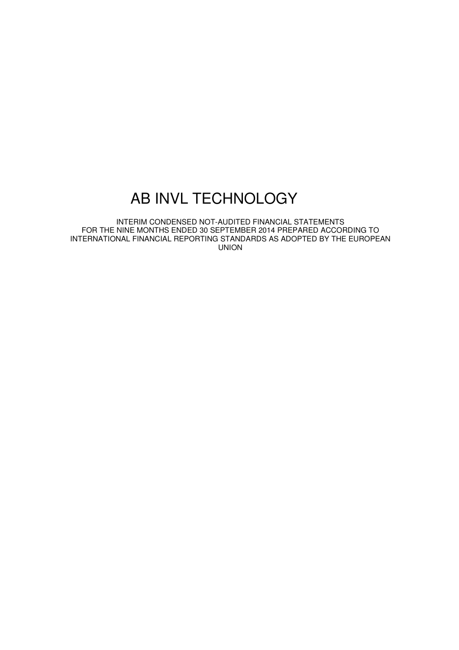# AB INVL TECHNOLOGY

INTERIM CONDENSED NOT-AUDITED FINANCIAL STATEMENTS FOR THE NINE MONTHS ENDED 30 SEPTEMBER 2014 PREPARED ACCORDING TO INTERNATIONAL FINANCIAL REPORTING STANDARDS AS ADOPTED BY THE EUROPEAN UNION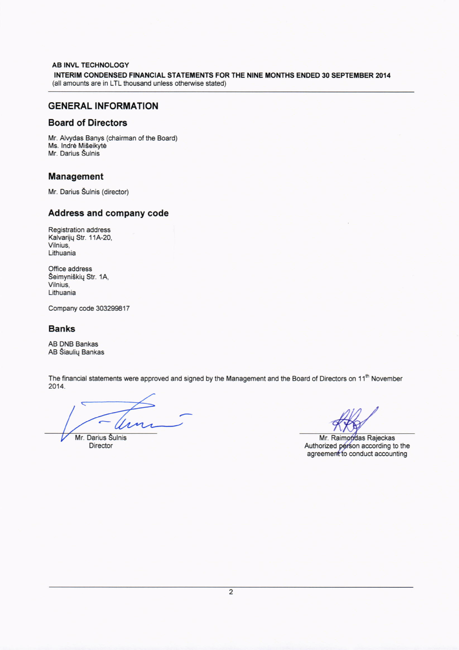#### AB INVL TECHNOLOGY

INTERIM CONDENSED FINANCIAL STATEMENTS FOR THE NINE MONTHS ENDED 30 SEPTEMBER 2014

(all amounts are in LTL thousand unless otherwise stated)

# GENERAL INFORMATION

# Board of Directors

Mr. Alvydas Banys (chairman of the Board) Ms. Indré Mišeikyté Mr. Darius Šulnis

# Management

Mr. Darius Šulnis (director)

# Address and company code

Registration address Kalvarijų Str. 11A-20, Vilnius, Lithuania

Office address Seimyniskiq Str. 1A, Vilnius, Lithuania

Company code 303299817

# Banks

AB DNB Bankas AB Siauliq Bankas

The financial statements were approved and signed by the Management and the Board of Directors on 11<sup>th</sup> November 2014.

Mr. Darius Šulnis **Director** 

Mr. Raimondas Rajeckas agreement to conduct accounting Authorized person according to the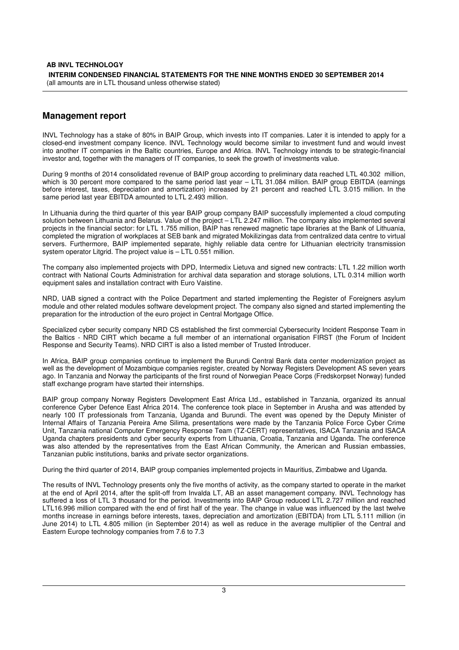## **AB INVL TECHNOLOGY INTERIM CONDENSED FINANCIAL STATEMENTS FOR THE NINE MONTHS ENDED 30 SEPTEMBER 2014**  (all amounts are in LTL thousand unless otherwise stated)

# **Management report**

INVL Technology has a stake of 80% in BAIP Group, which invests into IT companies. Later it is intended to apply for a closed-end investment company licence. INVL Technology would become similar to investment fund and would invest into another IT companies in the Baltic countries, Europe and Africa. INVL Technology intends to be strategic-financial investor and, together with the managers of IT companies, to seek the growth of investments value.

During 9 months of 2014 consolidated revenue of BAIP group according to preliminary data reached LTL 40.302 million, which is 30 percent more compared to the same period last year – LTL 31.084 million. BAIP group EBITDA (earnings before interest, taxes, depreciation and amortization) increased by 21 percent and reached LTL 3.015 million. In the same period last year EBITDA amounted to LTL 2.493 million.

In Lithuania during the third quarter of this year BAIP group company BAIP successfully implemented a cloud computing solution between Lithuania and Belarus. Value of the project – LTL 2.247 million. The company also implemented several projects in the financial sector: for LTL 1.755 million, BAIP has renewed magnetic tape libraries at the Bank of Lithuania, completed the migration of workplaces at SEB bank and migrated Mokilizingas data from centralized data centre to virtual servers. Furthermore, BAIP implemented separate, highly reliable data centre for Lithuanian electricity transmission system operator Litgrid. The project value is – LTL 0.551 million.

The company also implemented projects with DPD, Intermedix Lietuva and signed new contracts: LTL 1.22 million worth contract with National Courts Administration for archival data separation and storage solutions, LTL 0.314 million worth equipment sales and installation contract with Euro Vaistine.

NRD, UAB signed a contract with the Police Department and started implementing the Register of Foreigners asylum module and other related modules software development project. The company also signed and started implementing the preparation for the introduction of the euro project in Central Mortgage Office.

Specialized cyber security company NRD CS established the first commercial Cybersecurity Incident Response Team in the Baltics - NRD CIRT which became a full member of an international organisation FIRST (the Forum of Incident Response and Security Teams). NRD CIRT is also a listed member of Trusted Introducer.

In Africa, BAIP group companies continue to implement the Burundi Central Bank data center modernization project as well as the development of Mozambique companies register, created by Norway Registers Development AS seven years ago. In Tanzania and Norway the participants of the first round of Norwegian Peace Corps (Fredskorpset Norway) funded staff exchange program have started their internships.

BAIP group company Norway Registers Development East Africa Ltd., established in Tanzania, organized its annual conference Cyber Defence East Africa 2014. The conference took place in September in Arusha and was attended by nearly 100 IT professionals from Tanzania, Uganda and Burundi. The event was opened by the Deputy Minister of Internal Affairs of Tanzania Pereira Ame Silima, presentations were made by the Tanzania Police Force Cyber Crime Unit, Tanzania national Computer Emergency Response Team (TZ-CERT) representatives, ISACA Tanzania and ISACA Uganda chapters presidents and cyber security experts from Lithuania, Croatia, Tanzania and Uganda. The conference was also attended by the representatives from the East African Community, the American and Russian embassies, Tanzanian public institutions, banks and private sector organizations.

During the third quarter of 2014, BAIP group companies implemented projects in Mauritius, Zimbabwe and Uganda.

The results of INVL Technology presents only the five months of activity, as the company started to operate in the market at the end of April 2014, after the split-off from Invalda LT, AB an asset management company. INVL Technology has suffered a loss of LTL 3 thousand for the period. Investments into BAIP Group reduced LTL 2.727 million and reached LTL16.996 million compared with the end of first half of the year. The change in value was influenced by the last twelve months increase in earnings before interests, taxes, depreciation and amortization (EBITDA) from LTL 5.111 million (in June 2014) to LTL 4.805 million (in September 2014) as well as reduce in the average multiplier of the Central and Eastern Europe technology companies from 7.6 to 7.3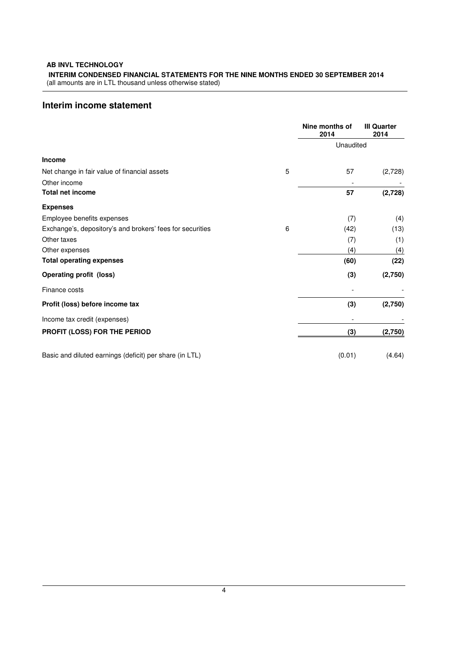# **AB INVL TECHNOLOGY**

 **INTERIM CONDENSED FINANCIAL STATEMENTS FOR THE NINE MONTHS ENDED 30 SEPTEMBER 2014**  (all amounts are in LTL thousand unless otherwise stated)

# **Interim income statement**

|                                                           |   | Nine months of<br>2014 | <b>III Quarter</b><br>2014 |
|-----------------------------------------------------------|---|------------------------|----------------------------|
|                                                           |   | Unaudited              |                            |
| <b>Income</b>                                             |   |                        |                            |
| Net change in fair value of financial assets              | 5 | 57                     | (2,728)                    |
| Other income                                              |   |                        |                            |
| <b>Total net income</b>                                   |   | 57                     | (2,728)                    |
| <b>Expenses</b>                                           |   |                        |                            |
| Employee benefits expenses                                |   | (7)                    | (4)                        |
| Exchange's, depository's and brokers' fees for securities | 6 | (42)                   | (13)                       |
| Other taxes                                               |   | (7)                    | (1)                        |
| Other expenses                                            |   | (4)                    | (4)                        |
| <b>Total operating expenses</b>                           |   | (60)                   | (22)                       |
| <b>Operating profit (loss)</b>                            |   | (3)                    | (2,750)                    |
| Finance costs                                             |   |                        |                            |
| Profit (loss) before income tax                           |   | (3)                    | (2,750)                    |
| Income tax credit (expenses)                              |   |                        |                            |
| PROFIT (LOSS) FOR THE PERIOD                              |   | (3)                    | (2,750)                    |
| Basic and diluted earnings (deficit) per share (in LTL)   |   | (0.01)                 | (4.64)                     |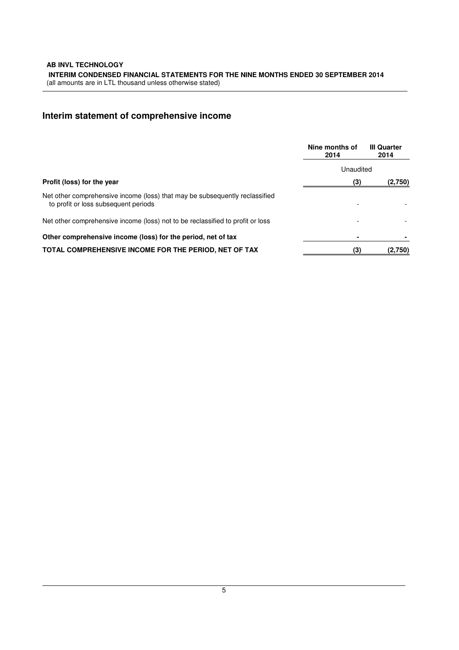# **Interim statement of comprehensive income**

|                                                                                                                     | Nine months of<br>2014 | <b>III Quarter</b><br>2014 |
|---------------------------------------------------------------------------------------------------------------------|------------------------|----------------------------|
|                                                                                                                     | Unaudited              |                            |
| Profit (loss) for the year                                                                                          | (3)                    | (2,750)                    |
| Net other comprehensive income (loss) that may be subsequently reclassified<br>to profit or loss subsequent periods |                        |                            |
| Net other comprehensive income (loss) not to be reclassified to profit or loss                                      |                        |                            |
| Other comprehensive income (loss) for the period, net of tax                                                        |                        |                            |
| TOTAL COMPREHENSIVE INCOME FOR THE PERIOD, NET OF TAX                                                               | (3)                    | (2,750)                    |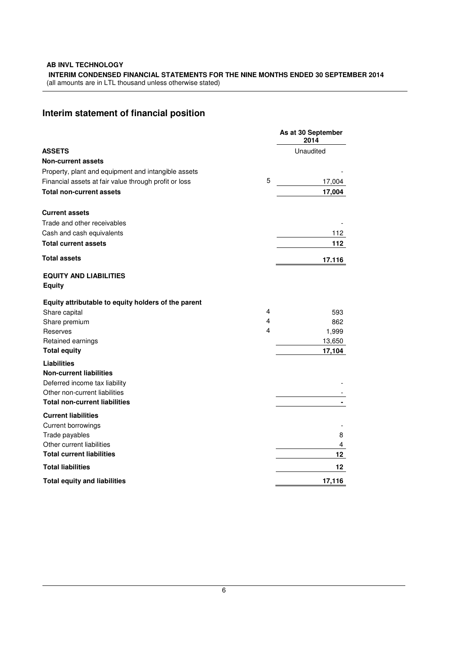**INTERIM CONDENSED FINANCIAL STATEMENTS FOR THE NINE MONTHS ENDED 30 SEPTEMBER 2014**  (all amounts are in LTL thousand unless otherwise stated)

# **Interim statement of financial position**

|                                                                       |   | As at 30 September<br>2014 |
|-----------------------------------------------------------------------|---|----------------------------|
| <b>ASSETS</b>                                                         |   | Unaudited                  |
| <b>Non-current assets</b>                                             |   |                            |
| Property, plant and equipment and intangible assets                   |   |                            |
| Financial assets at fair value through profit or loss                 | 5 | 17,004                     |
| <b>Total non-current assets</b>                                       |   | 17,004                     |
| <b>Current assets</b>                                                 |   |                            |
| Trade and other receivables                                           |   |                            |
| Cash and cash equivalents                                             |   | 112                        |
| <b>Total current assets</b>                                           |   | 112                        |
| <b>Total assets</b>                                                   |   | 17.116                     |
| <b>EQUITY AND LIABILITIES</b><br><b>Equity</b>                        |   |                            |
| Equity attributable to equity holders of the parent                   |   |                            |
| Share capital                                                         | 4 | 593                        |
| Share premium                                                         | 4 | 862                        |
| Reserves                                                              | 4 | 1,999                      |
| Retained earnings                                                     |   | 13,650                     |
| <b>Total equity</b>                                                   |   | 17,104                     |
| <b>Liabilities</b>                                                    |   |                            |
| <b>Non-current liabilities</b>                                        |   |                            |
| Deferred income tax liability                                         |   |                            |
| Other non-current liabilities<br><b>Total non-current liabilities</b> |   |                            |
|                                                                       |   |                            |
| <b>Current liabilities</b>                                            |   |                            |
| <b>Current borrowings</b><br>Trade payables                           |   | 8                          |
| Other current liabilities                                             |   | 4                          |
| <b>Total current liabilities</b>                                      |   | 12                         |
| <b>Total liabilities</b>                                              |   | 12                         |
| <b>Total equity and liabilities</b>                                   |   | 17.116                     |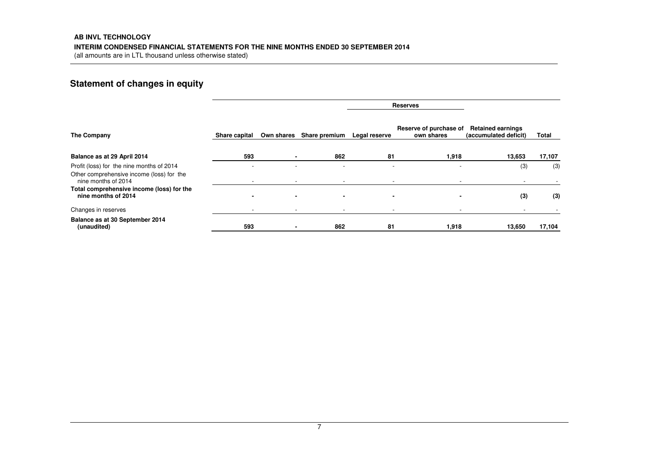# **AB INVL TECHNOLOGY INTERIM CONDENSED FINANCIAL STATEMENTS FOR THE NINE MONTHS ENDED 30 SEPTEMBER 2014**

(all amounts are in LTL thousand unless otherwise stated)

# **Statement of changes in equity**

|                                                                  |               |                          |                          |                          | <b>Reserves</b>                      |                                                   |        |  |
|------------------------------------------------------------------|---------------|--------------------------|--------------------------|--------------------------|--------------------------------------|---------------------------------------------------|--------|--|
| The Company                                                      | Share capital | Own shares               | Share premium            | Legal reserve            | Reserve of purchase of<br>own shares | <b>Retained earnings</b><br>(accumulated deficit) | Total  |  |
| Balance as at 29 April 2014                                      | 593           |                          | 862                      | 81                       | 1,918                                | 13,653                                            | 17,107 |  |
| Profit (loss) for the nine months of 2014                        |               | ۰                        | $\overline{\phantom{a}}$ | $\overline{\phantom{a}}$ | ۰                                    | (3)                                               | (3)    |  |
| Other comprehensive income (loss) for the<br>nine months of 2014 |               |                          |                          |                          |                                      |                                                   |        |  |
| Total comprehensive income (loss) for the<br>nine months of 2014 |               | -                        |                          |                          |                                      | (3)                                               | (3)    |  |
| Changes in reserves                                              |               | $\overline{\phantom{a}}$ |                          |                          | $\overline{\phantom{a}}$             |                                                   |        |  |
| Balance as at 30 September 2014<br>(unaudited)                   | 593           | $\blacksquare$           | 862                      | 81                       | 1,918                                | 13,650                                            | 17,104 |  |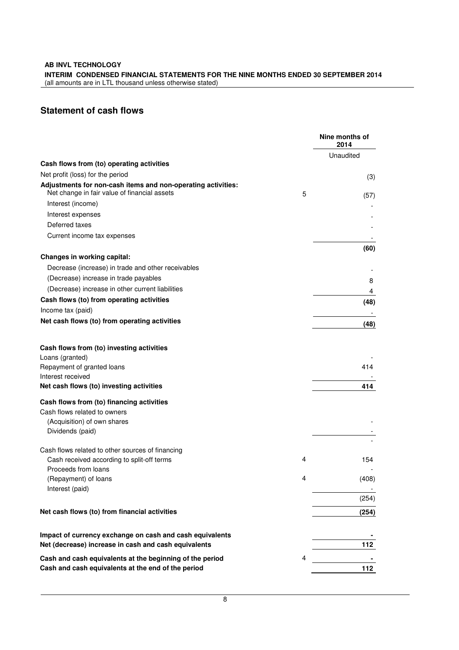**INTERIM CONDENSED FINANCIAL STATEMENTS FOR THE NINE MONTHS ENDED 30 SEPTEMBER 2014**  (all amounts are in LTL thousand unless otherwise stated)

# **Statement of cash flows**

|                                                                                                              |   | Nine months of<br>2014 |
|--------------------------------------------------------------------------------------------------------------|---|------------------------|
|                                                                                                              |   | Unaudited              |
| Cash flows from (to) operating activities                                                                    |   |                        |
| Net profit (loss) for the period                                                                             |   | (3)                    |
| Adjustments for non-cash items and non-operating activities:<br>Net change in fair value of financial assets | 5 | (57)                   |
| Interest (income)                                                                                            |   |                        |
| Interest expenses                                                                                            |   |                        |
| Deferred taxes                                                                                               |   |                        |
| Current income tax expenses                                                                                  |   |                        |
| <b>Changes in working capital:</b>                                                                           |   | (60)                   |
|                                                                                                              |   |                        |
| Decrease (increase) in trade and other receivables                                                           |   |                        |
| (Decrease) increase in trade payables                                                                        |   | 8                      |
| (Decrease) increase in other current liabilities                                                             |   | 4                      |
| Cash flows (to) from operating activities                                                                    |   | (48)                   |
| Income tax (paid)                                                                                            |   |                        |
| Net cash flows (to) from operating activities                                                                |   | (48)                   |
| Cash flows from (to) investing activities                                                                    |   |                        |
| Loans (granted)                                                                                              |   |                        |
| Repayment of granted loans                                                                                   |   | 414                    |
| Interest received                                                                                            |   |                        |
| Net cash flows (to) investing activities                                                                     |   | 414                    |
| Cash flows from (to) financing activities                                                                    |   |                        |
| Cash flows related to owners                                                                                 |   |                        |
| (Acquisition) of own shares                                                                                  |   |                        |
| Dividends (paid)                                                                                             |   |                        |
| Cash flows related to other sources of financing                                                             |   |                        |
| Cash received according to split-off terms                                                                   | 4 | 154                    |
| Proceeds from loans                                                                                          |   |                        |
| (Repayment) of loans                                                                                         |   | (408)                  |
| Interest (paid)                                                                                              |   |                        |
|                                                                                                              |   | (254)                  |
| Net cash flows (to) from financial activities                                                                |   | (254)                  |
| Impact of currency exchange on cash and cash equivalents                                                     |   |                        |
| Net (decrease) increase in cash and cash equivalents                                                         |   | 112                    |
| Cash and cash equivalents at the beginning of the period                                                     | 4 |                        |
| Cash and cash equivalents at the end of the period                                                           |   | 112                    |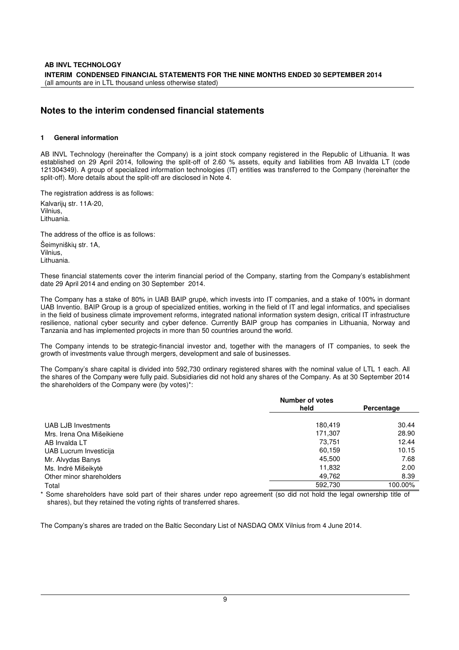# **Notes to the interim condensed financial statements**

## **1 General information**

AB INVL Technology (hereinafter the Company) is a joint stock company registered in the Republic of Lithuania. It was established on 29 April 2014, following the split-off of 2.60 % assets, equity and liabilities from AB Invalda LT (code 121304349). A group of specialized information technologies (IT) entities was transferred to the Company (hereinafter the split-off). More details about the split-off are disclosed in Note 4.

The registration address is as follows: Kalvarijų str. 11A-20, Vilnius, Lithuania.

The address of the office is as follows: Šeimyniškių str. 1A, Vilnius, Lithuania.

These financial statements cover the interim financial period of the Company, starting from the Company's establishment date 29 April 2014 and ending on 30 September 2014.

The Company has a stake of 80% in UAB BAIP grupė, which invests into IT companies, and a stake of 100% in dormant UAB Inventio. BAIP Group is a group of specialized entities, working in the field of IT and legal informatics, and specialises in the field of business climate improvement reforms, integrated national information system design, critical IT infrastructure resilience, national cyber security and cyber defence. Currently BAIP group has companies in Lithuania, Norway and Tanzania and has implemented projects in more than 50 countries around the world.

The Company intends to be strategic-financial investor and, together with the managers of IT companies, to seek the growth of investments value through mergers, development and sale of businesses.

The Company's share capital is divided into 592,730 ordinary registered shares with the nominal value of LTL 1 each. All the shares of the Company were fully paid. Subsidiaries did not hold any shares of the Company. As at 30 September 2014 the shareholders of the Company were (by votes)\*:

|                           | <b>Number of votes</b> |            |  |
|---------------------------|------------------------|------------|--|
|                           | held                   | Percentage |  |
|                           |                        |            |  |
| UAB LJB Investments       | 180.419                | 30.44      |  |
| Mrs. Irena Ona Mišeikiene | 171,307                | 28.90      |  |
| AB Invalda LT             | 73.751                 | 12.44      |  |
| UAB Lucrum Investicija    | 60.159                 | 10.15      |  |
| Mr. Alvydas Banys         | 45.500                 | 7.68       |  |
| Ms. Indrė Mišeikytė       | 11,832                 | 2.00       |  |
| Other minor shareholders  | 49.762                 | 8.39       |  |
| Total                     | 592,730                | 100.00%    |  |

\* Some shareholders have sold part of their shares under repo agreement (so did not hold the legal ownership title of shares), but they retained the voting rights of transferred shares.

The Company's shares are traded on the Baltic Secondary List of NASDAQ OMX Vilnius from 4 June 2014.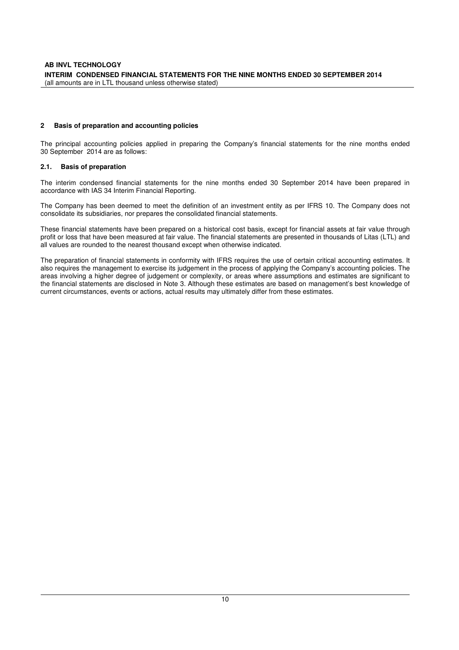The principal accounting policies applied in preparing the Company's financial statements for the nine months ended 30 September 2014 are as follows:

#### **2.1. Basis of preparation**

The interim condensed financial statements for the nine months ended 30 September 2014 have been prepared in accordance with IAS 34 Interim Financial Reporting.

The Company has been deemed to meet the definition of an investment entity as per IFRS 10. The Company does not consolidate its subsidiaries, nor prepares the consolidated financial statements.

These financial statements have been prepared on a historical cost basis, except for financial assets at fair value through profit or loss that have been measured at fair value. The financial statements are presented in thousands of Litas (LTL) and all values are rounded to the nearest thousand except when otherwise indicated.

The preparation of financial statements in conformity with IFRS requires the use of certain critical accounting estimates. It also requires the management to exercise its judgement in the process of applying the Company's accounting policies. The areas involving a higher degree of judgement or complexity, or areas where assumptions and estimates are significant to the financial statements are disclosed in Note 3. Although these estimates are based on management's best knowledge of current circumstances, events or actions, actual results may ultimately differ from these estimates.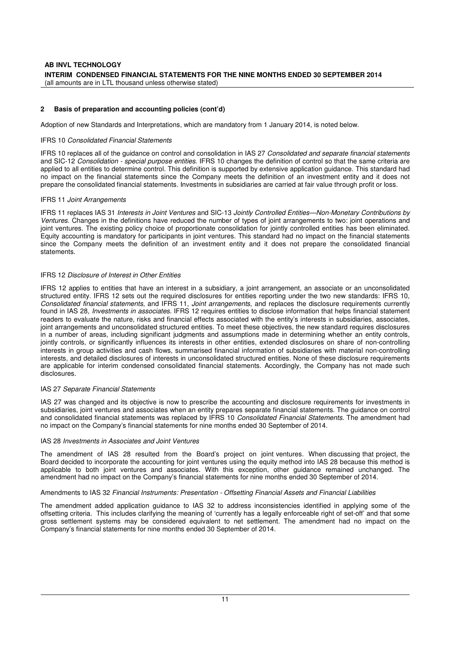Adoption of new Standards and Interpretations, which are mandatory from 1 January 2014, is noted below.

#### IFRS 10 Consolidated Financial Statements

IFRS 10 replaces all of the guidance on control and consolidation in IAS 27 Consolidated and separate financial statements and SIC-12 Consolidation - special purpose entities. IFRS 10 changes the definition of control so that the same criteria are applied to all entities to determine control. This definition is supported by extensive application guidance. This standard had no impact on the financial statements since the Company meets the definition of an investment entity and it does not prepare the consolidated financial statements. Investments in subsidiaries are carried at fair value through profit or loss.

#### IFRS 11 Joint Arrangements

IFRS 11 replaces IAS 31 Interests in Joint Ventures and SIC-13 Jointly Controlled Entities—Non-Monetary Contributions by Ventures. Changes in the definitions have reduced the number of types of joint arrangements to two: joint operations and joint ventures. The existing policy choice of proportionate consolidation for jointly controlled entities has been eliminated. Equity accounting is mandatory for participants in joint ventures. This standard had no impact on the financial statements since the Company meets the definition of an investment entity and it does not prepare the consolidated financial statements.

#### IFRS 12 Disclosure of Interest in Other Entities

IFRS 12 applies to entities that have an interest in a subsidiary, a joint arrangement, an associate or an unconsolidated structured entity. IFRS 12 sets out the required disclosures for entities reporting under the two new standards: IFRS 10, Consolidated financial statements, and IFRS 11, Joint arrangements, and replaces the disclosure requirements currently found in IAS 28, Investments in associates. IFRS 12 requires entities to disclose information that helps financial statement readers to evaluate the nature, risks and financial effects associated with the entity's interests in subsidiaries, associates, joint arrangements and unconsolidated structured entities. To meet these objectives, the new standard requires disclosures in a number of areas, including significant judgments and assumptions made in determining whether an entity controls, jointly controls, or significantly influences its interests in other entities, extended disclosures on share of non-controlling interests in group activities and cash flows, summarised financial information of subsidiaries with material non-controlling interests, and detailed disclosures of interests in unconsolidated structured entities. None of these disclosure requirements are applicable for interim condensed consolidated financial statements. Accordingly, the Company has not made such disclosures.

#### IAS 27 Separate Financial Statements

IAS 27 was changed and its objective is now to prescribe the accounting and disclosure requirements for investments in subsidiaries, joint ventures and associates when an entity prepares separate financial statements. The guidance on control and consolidated financial statements was replaced by IFRS 10 Consolidated Financial Statements. The amendment had no impact on the Company's financial statements for nine months ended 30 September of 2014.

#### IAS 28 Investments in Associates and Joint Ventures

The amendment of IAS 28 resulted from the Board's project on joint ventures. When discussing that project, the Board decided to incorporate the accounting for joint ventures using the equity method into IAS 28 because this method is applicable to both joint ventures and associates. With this exception, other guidance remained unchanged. The amendment had no impact on the Company's financial statements for nine months ended 30 September of 2014.

#### Amendments to IAS 32 Financial Instruments: Presentation - Offsetting Financial Assets and Financial Liabilities

The amendment added application guidance to IAS 32 to address inconsistencies identified in applying some of the offsetting criteria. This includes clarifying the meaning of 'currently has a legally enforceable right of set-off' and that some gross settlement systems may be considered equivalent to net settlement. The amendment had no impact on the Company's financial statements for nine months ended 30 September of 2014.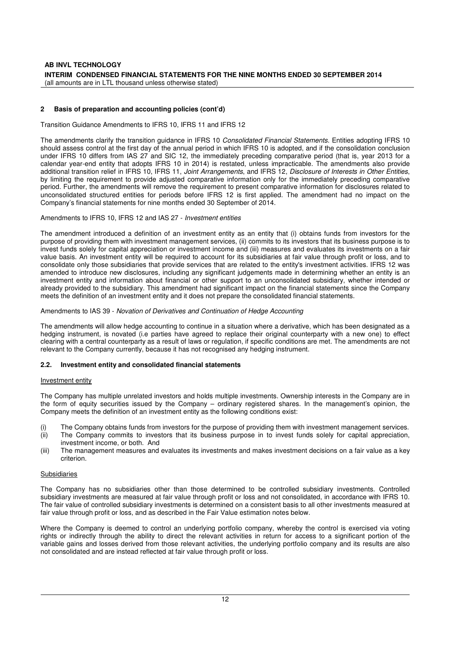#### Transition Guidance Amendments to IFRS 10, IFRS 11 and IFRS 12

The amendments clarify the transition guidance in IFRS 10 Consolidated Financial Statements. Entities adopting IFRS 10 should assess control at the first day of the annual period in which IFRS 10 is adopted, and if the consolidation conclusion under IFRS 10 differs from IAS 27 and SIC 12, the immediately preceding comparative period (that is, year 2013 for a calendar year-end entity that adopts IFRS 10 in 2014) is restated, unless impracticable. The amendments also provide additional transition relief in IFRS 10, IFRS 11, Joint Arrangements, and IFRS 12, Disclosure of Interests in Other Entities, by limiting the requirement to provide adjusted comparative information only for the immediately preceding comparative period. Further, the amendments will remove the requirement to present comparative information for disclosures related to unconsolidated structured entities for periods before IFRS 12 is first applied. The amendment had no impact on the Company's financial statements for nine months ended 30 September of 2014.

#### Amendments to IFRS 10, IFRS 12 and IAS 27 - Investment entities

The amendment introduced a definition of an investment entity as an entity that (i) obtains funds from investors for the purpose of providing them with investment management services, (ii) commits to its investors that its business purpose is to invest funds solely for capital appreciation or investment income and (iii) measures and evaluates its investments on a fair value basis. An investment entity will be required to account for its subsidiaries at fair value through profit or loss, and to consolidate only those subsidiaries that provide services that are related to the entity's investment activities. IFRS 12 was amended to introduce new disclosures, including any significant judgements made in determining whether an entity is an investment entity and information about financial or other support to an unconsolidated subsidiary, whether intended or already provided to the subsidiary. This amendment had significant impact on the financial statements since the Company meets the definition of an investment entity and it does not prepare the consolidated financial statements.

#### Amendments to IAS 39 - Novation of Derivatives and Continuation of Hedge Accounting

The amendments will allow hedge accounting to continue in a situation where a derivative, which has been designated as a hedging instrument, is novated (i.e parties have agreed to replace their original counterparty with a new one) to effect clearing with a central counterparty as a result of laws or regulation, if specific conditions are met. The amendments are not relevant to the Company currently, because it has not recognised any hedging instrument.

#### **2.2. Investment entity and consolidated financial statements**

#### Investment entity

The Company has multiple unrelated investors and holds multiple investments. Ownership interests in the Company are in the form of equity securities issued by the Company – ordinary registered shares. In the management's opinion, the Company meets the definition of an investment entity as the following conditions exist:

- (i) The Company obtains funds from investors for the purpose of providing them with investment management services.
- (ii) The Company commits to investors that its business purpose in to invest funds solely for capital appreciation, investment income, or both. And
- (iii) The management measures and evaluates its investments and makes investment decisions on a fair value as a key criterion.

#### Subsidiaries

The Company has no subsidiaries other than those determined to be controlled subsidiary investments. Controlled subsidiary investments are measured at fair value through profit or loss and not consolidated, in accordance with IFRS 10. The fair value of controlled subsidiary investments is determined on a consistent basis to all other investments measured at fair value through profit or loss, and as described in the Fair Value estimation notes below.

Where the Company is deemed to control an underlying portfolio company, whereby the control is exercised via voting rights or indirectly through the ability to direct the relevant activities in return for access to a significant portion of the variable gains and losses derived from those relevant activities, the underlying portfolio company and its results are also not consolidated and are instead reflected at fair value through profit or loss.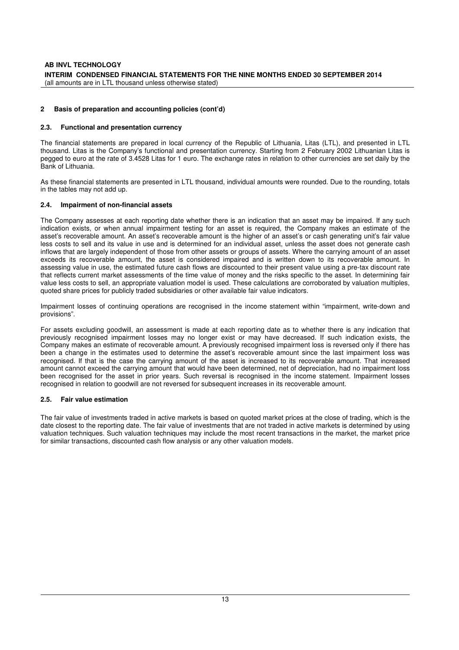#### **2.3. Functional and presentation currency**

The financial statements are prepared in local currency of the Republic of Lithuania, Litas (LTL), and presented in LTL thousand. Litas is the Company's functional and presentation currency. Starting from 2 February 2002 Lithuanian Litas is pegged to euro at the rate of 3.4528 Litas for 1 euro. The exchange rates in relation to other currencies are set daily by the Bank of Lithuania.

As these financial statements are presented in LTL thousand, individual amounts were rounded. Due to the rounding, totals in the tables may not add up.

### **2.4. Impairment of non-financial assets**

The Company assesses at each reporting date whether there is an indication that an asset may be impaired. If any such indication exists, or when annual impairment testing for an asset is required, the Company makes an estimate of the asset's recoverable amount. An asset's recoverable amount is the higher of an asset's or cash generating unit's fair value less costs to sell and its value in use and is determined for an individual asset, unless the asset does not generate cash inflows that are largely independent of those from other assets or groups of assets. Where the carrying amount of an asset exceeds its recoverable amount, the asset is considered impaired and is written down to its recoverable amount. In assessing value in use, the estimated future cash flows are discounted to their present value using a pre-tax discount rate that reflects current market assessments of the time value of money and the risks specific to the asset. In determining fair value less costs to sell, an appropriate valuation model is used. These calculations are corroborated by valuation multiples, quoted share prices for publicly traded subsidiaries or other available fair value indicators.

Impairment losses of continuing operations are recognised in the income statement within "impairment, write-down and provisions".

For assets excluding goodwill, an assessment is made at each reporting date as to whether there is any indication that previously recognised impairment losses may no longer exist or may have decreased. If such indication exists, the Company makes an estimate of recoverable amount. A previously recognised impairment loss is reversed only if there has been a change in the estimates used to determine the asset's recoverable amount since the last impairment loss was recognised. If that is the case the carrying amount of the asset is increased to its recoverable amount. That increased amount cannot exceed the carrying amount that would have been determined, net of depreciation, had no impairment loss been recognised for the asset in prior years. Such reversal is recognised in the income statement. Impairment losses recognised in relation to goodwill are not reversed for subsequent increases in its recoverable amount.

#### **2.5. Fair value estimation**

The fair value of investments traded in active markets is based on quoted market prices at the close of trading, which is the date closest to the reporting date. The fair value of investments that are not traded in active markets is determined by using valuation techniques. Such valuation techniques may include the most recent transactions in the market, the market price for similar transactions, discounted cash flow analysis or any other valuation models.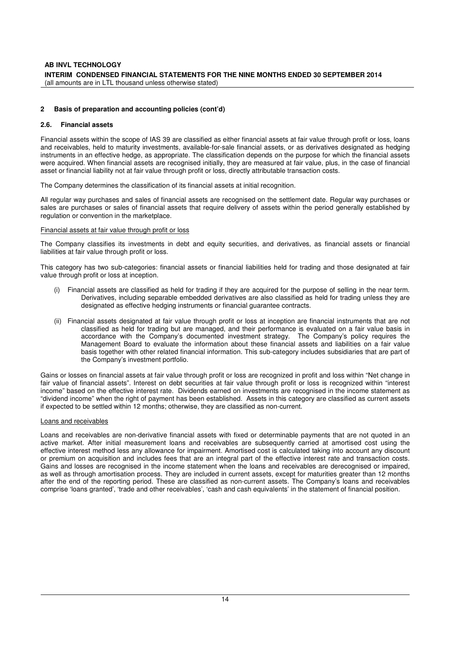#### **2.6. Financial assets**

Financial assets within the scope of IAS 39 are classified as either financial assets at fair value through profit or loss, loans and receivables, held to maturity investments, available-for-sale financial assets, or as derivatives designated as hedging instruments in an effective hedge, as appropriate. The classification depends on the purpose for which the financial assets were acquired. When financial assets are recognised initially, they are measured at fair value, plus, in the case of financial asset or financial liability not at fair value through profit or loss, directly attributable transaction costs.

The Company determines the classification of its financial assets at initial recognition.

All regular way purchases and sales of financial assets are recognised on the settlement date. Regular way purchases or sales are purchases or sales of financial assets that require delivery of assets within the period generally established by regulation or convention in the marketplace.

#### Financial assets at fair value through profit or loss

The Company classifies its investments in debt and equity securities, and derivatives, as financial assets or financial liabilities at fair value through profit or loss.

This category has two sub-categories: financial assets or financial liabilities held for trading and those designated at fair value through profit or loss at inception.

- (i) Financial assets are classified as held for trading if they are acquired for the purpose of selling in the near term. Derivatives, including separable embedded derivatives are also classified as held for trading unless they are designated as effective hedging instruments or financial guarantee contracts.
- (ii) Financial assets designated at fair value through profit or loss at inception are financial instruments that are not classified as held for trading but are managed, and their performance is evaluated on a fair value basis in accordance with the Company's documented investment strategy. The Company's policy requires the Management Board to evaluate the information about these financial assets and liabilities on a fair value basis together with other related financial information. This sub-category includes subsidiaries that are part of the Company's investment portfolio.

Gains or losses on financial assets at fair value through profit or loss are recognized in profit and loss within "Net change in fair value of financial assets". Interest on debt securities at fair value through profit or loss is recognized within "interest income" based on the effective interest rate. Dividends earned on investments are recognised in the income statement as "dividend income" when the right of payment has been established. Assets in this category are classified as current assets if expected to be settled within 12 months; otherwise, they are classified as non-current.

#### Loans and receivables

Loans and receivables are non-derivative financial assets with fixed or determinable payments that are not quoted in an active market. After initial measurement loans and receivables are subsequently carried at amortised cost using the effective interest method less any allowance for impairment. Amortised cost is calculated taking into account any discount or premium on acquisition and includes fees that are an integral part of the effective interest rate and transaction costs. Gains and losses are recognised in the income statement when the loans and receivables are derecognised or impaired, as well as through amortisation process. They are included in current assets, except for maturities greater than 12 months after the end of the reporting period. These are classified as non-current assets. The Company's loans and receivables comprise 'loans granted', 'trade and other receivables', 'cash and cash equivalents' in the statement of financial position.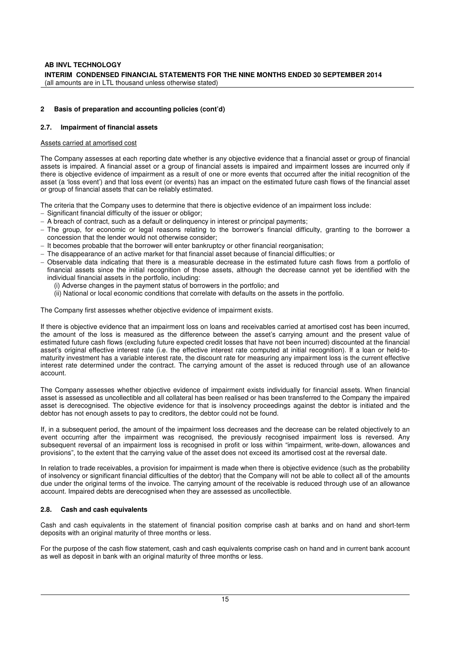#### **2.7. Impairment of financial assets**

#### Assets carried at amortised cost

The Company assesses at each reporting date whether is any objective evidence that a financial asset or group of financial assets is impaired. A financial asset or a group of financial assets is impaired and impairment losses are incurred only if there is objective evidence of impairment as a result of one or more events that occurred after the initial recognition of the asset (a 'loss event') and that loss event (or events) has an impact on the estimated future cash flows of the financial asset or group of financial assets that can be reliably estimated.

The criteria that the Company uses to determine that there is objective evidence of an impairment loss include:

- − Significant financial difficulty of the issuer or obligor;
- − A breach of contract, such as a default or delinquency in interest or principal payments;
- − The group, for economic or legal reasons relating to the borrower's financial difficulty, granting to the borrower a concession that the lender would not otherwise consider;
- − It becomes probable that the borrower will enter bankruptcy or other financial reorganisation;
- − The disappearance of an active market for that financial asset because of financial difficulties; or
- − Observable data indicating that there is a measurable decrease in the estimated future cash flows from a portfolio of financial assets since the initial recognition of those assets, although the decrease cannot yet be identified with the individual financial assets in the portfolio, including:
	- (i) Adverse changes in the payment status of borrowers in the portfolio; and
	- (ii) National or local economic conditions that correlate with defaults on the assets in the portfolio.

The Company first assesses whether objective evidence of impairment exists.

If there is objective evidence that an impairment loss on loans and receivables carried at amortised cost has been incurred, the amount of the loss is measured as the difference between the asset's carrying amount and the present value of estimated future cash flows (excluding future expected credit losses that have not been incurred) discounted at the financial asset's original effective interest rate (i.e. the effective interest rate computed at initial recognition). If a loan or held-tomaturity investment has a variable interest rate, the discount rate for measuring any impairment loss is the current effective interest rate determined under the contract. The carrying amount of the asset is reduced through use of an allowance account.

The Company assesses whether objective evidence of impairment exists individually for financial assets. When financial asset is assessed as uncollectible and all collateral has been realised or has been transferred to the Company the impaired asset is derecognised. The objective evidence for that is insolvency proceedings against the debtor is initiated and the debtor has not enough assets to pay to creditors, the debtor could not be found.

If, in a subsequent period, the amount of the impairment loss decreases and the decrease can be related objectively to an event occurring after the impairment was recognised, the previously recognised impairment loss is reversed. Any subsequent reversal of an impairment loss is recognised in profit or loss within "impairment, write-down, allowances and provisions", to the extent that the carrying value of the asset does not exceed its amortised cost at the reversal date.

In relation to trade receivables, a provision for impairment is made when there is objective evidence (such as the probability of insolvency or significant financial difficulties of the debtor) that the Company will not be able to collect all of the amounts due under the original terms of the invoice. The carrying amount of the receivable is reduced through use of an allowance account. Impaired debts are derecognised when they are assessed as uncollectible.

#### **2.8. Cash and cash equivalents**

Cash and cash equivalents in the statement of financial position comprise cash at banks and on hand and short-term deposits with an original maturity of three months or less.

For the purpose of the cash flow statement, cash and cash equivalents comprise cash on hand and in current bank account as well as deposit in bank with an original maturity of three months or less.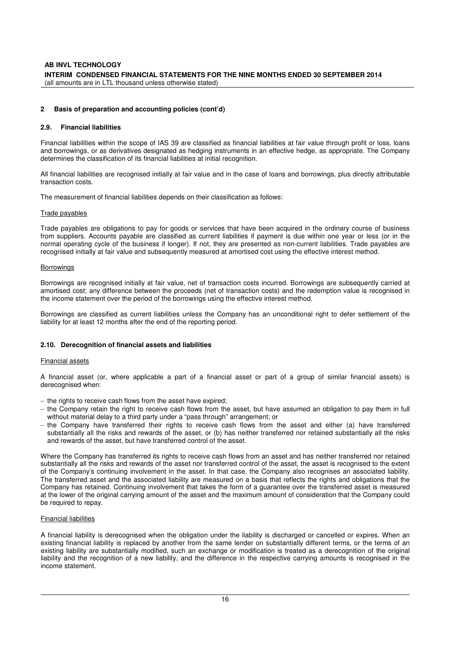#### **2.9. Financial liabilities**

Financial liabilities within the scope of IAS 39 are classified as financial liabilities at fair value through profit or loss, loans and borrowings, or as derivatives designated as hedging instruments in an effective hedge, as appropriate. The Company determines the classification of its financial liabilities at initial recognition.

All financial liabilities are recognised initially at fair value and in the case of loans and borrowings, plus directly attributable transaction costs.

The measurement of financial liabilities depends on their classification as follows:

#### Trade payables

Trade payables are obligations to pay for goods or services that have been acquired in the ordinary course of business from suppliers. Accounts payable are classified as current liabilities if payment is due within one year or less (or in the normal operating cycle of the business if longer). If not, they are presented as non-current liabilities. Trade payables are recognised initially at fair value and subsequently measured at amortised cost using the effective interest method.

#### Borrowings

Borrowings are recognised initially at fair value, net of transaction costs incurred. Borrowings are subsequently carried at amortised cost; any difference between the proceeds (net of transaction costs) and the redemption value is recognised in the income statement over the period of the borrowings using the effective interest method.

Borrowings are classified as current liabilities unless the Company has an unconditional right to defer settlement of the liability for at least 12 months after the end of the reporting period.

#### **2.10. Derecognition of financial assets and liabilities**

#### Financial assets

A financial asset (or, where applicable a part of a financial asset or part of a group of similar financial assets) is derecognised when:

- − the rights to receive cash flows from the asset have expired;
- − the Company retain the right to receive cash flows from the asset, but have assumed an obligation to pay them in full without material delay to a third party under a "pass through" arrangement; or
- the Company have transferred their rights to receive cash flows from the asset and either (a) have transferred substantially all the risks and rewards of the asset, or (b) has neither transferred nor retained substantially all the risks and rewards of the asset, but have transferred control of the asset.

Where the Company has transferred its rights to receive cash flows from an asset and has neither transferred nor retained substantially all the risks and rewards of the asset nor transferred control of the asset, the asset is recognised to the extent of the Company's continuing involvement in the asset. In that case, the Company also recognises an associated liability. The transferred asset and the associated liability are measured on a basis that reflects the rights and obligations that the Company has retained. Continuing involvement that takes the form of a guarantee over the transferred asset is measured at the lower of the original carrying amount of the asset and the maximum amount of consideration that the Company could be required to repay.

#### Financial liabilities

A financial liability is derecognised when the obligation under the liability is discharged or cancelled or expires. When an existing financial liability is replaced by another from the same lender on substantially different terms, or the terms of an existing liability are substantially modified, such an exchange or modification is treated as a derecognition of the original liability and the recognition of a new liability, and the difference in the respective carrying amounts is recognised in the income statement.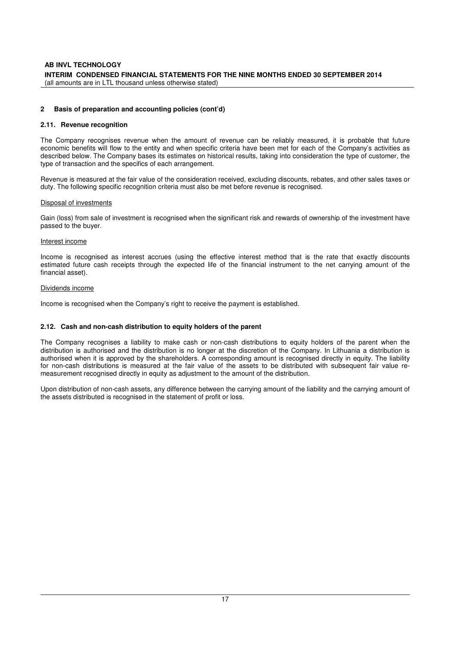#### **2.11. Revenue recognition**

The Company recognises revenue when the amount of revenue can be reliably measured, it is probable that future economic benefits will flow to the entity and when specific criteria have been met for each of the Company's activities as described below. The Company bases its estimates on historical results, taking into consideration the type of customer, the type of transaction and the specifics of each arrangement.

Revenue is measured at the fair value of the consideration received, excluding discounts, rebates, and other sales taxes or duty. The following specific recognition criteria must also be met before revenue is recognised.

#### Disposal of investments

Gain (loss) from sale of investment is recognised when the significant risk and rewards of ownership of the investment have passed to the buyer.

#### Interest income

Income is recognised as interest accrues (using the effective interest method that is the rate that exactly discounts estimated future cash receipts through the expected life of the financial instrument to the net carrying amount of the financial asset).

#### Dividends income

Income is recognised when the Company's right to receive the payment is established.

#### **2.12. Cash and non-cash distribution to equity holders of the parent**

The Company recognises a liability to make cash or non-cash distributions to equity holders of the parent when the distribution is authorised and the distribution is no longer at the discretion of the Company. In Lithuania a distribution is authorised when it is approved by the shareholders. A corresponding amount is recognised directly in equity. The liability for non-cash distributions is measured at the fair value of the assets to be distributed with subsequent fair value remeasurement recognised directly in equity as adjustment to the amount of the distribution.

Upon distribution of non-cash assets, any difference between the carrying amount of the liability and the carrying amount of the assets distributed is recognised in the statement of profit or loss.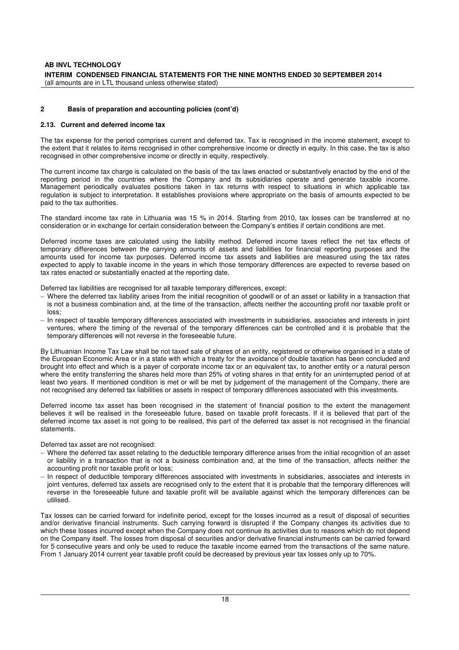#### **2.13. Current and deferred income tax**

The tax expense for the period comprises current and deferred tax. Tax is recognised in the income statement, except to the extent that it relates to items recognised in other comprehensive income or directly in equity. In this case, the tax is also recognised in other comprehensive income or directly in equity, respectively.

The current income tax charge is calculated on the basis of the tax laws enacted or substantively enacted by the end of the reporting period in the countries where the Company and its subsidiaries operate and generate taxable income. Management periodically evaluates positions taken in tax returns with respect to situations in which applicable tax regulation is subject to interpretation. It establishes provisions where appropriate on the basis of amounts expected to be paid to the tax authorities.

The standard income tax rate in Lithuania was 15 % in 2014. Starting from 2010, tax losses can be transferred at no consideration or in exchange for certain consideration between the Company's entities if certain conditions are met.

Deferred income taxes are calculated using the liability method. Deferred income taxes reflect the net tax effects of temporary differences between the carrying amounts of assets and liabilities for financial reporting purposes and the amounts used for income tax purposes. Deferred income tax assets and liabilities are measured using the tax rates expected to apply to taxable income in the years in which those temporary differences are expected to reverse based on tax rates enacted or substantially enacted at the reporting date.

Deferred tax liabilities are recognised for all taxable temporary differences, except:

- − Where the deferred tax liability arises from the initial recognition of goodwill or of an asset or liability in a transaction that is not a business combination and, at the time of the transaction, affects neither the accounting profit nor taxable profit or loss;
- − In respect of taxable temporary differences associated with investments in subsidiaries, associates and interests in joint ventures, where the timing of the reversal of the temporary differences can be controlled and it is probable that the temporary differences will not reverse in the foreseeable future.

By Lithuanian Income Tax Law shall be not taxed sale of shares of an entity, registered or otherwise organised in a state of the European Economic Area or in a state with which a treaty for the avoidance of double taxation has been concluded and brought into effect and which is a payer of corporate income tax or an equivalent tax, to another entity or a natural person where the entity transferring the shares held more than 25% of voting shares in that entity for an uninterrupted period of at least two years. If mentioned condition is met or will be met by judgement of the management of the Company, there are not recognised any deferred tax liabilities or assets in respect of temporary differences associated with this investments.

Deferred income tax asset has been recognised in the statement of financial position to the extent the management believes it will be realised in the foreseeable future, based on taxable profit forecasts. If it is believed that part of the deferred income tax asset is not going to be realised, this part of the deferred tax asset is not recognised in the financial statements.

Deferred tax asset are not recognised:

- − Where the deferred tax asset relating to the deductible temporary difference arises from the initial recognition of an asset or liability in a transaction that is not a business combination and, at the time of the transaction, affects neither the accounting profit nor taxable profit or loss;
- − In respect of deductible temporary differences associated with investments in subsidiaries, associates and interests in joint ventures, deferred tax assets are recognised only to the extent that it is probable that the temporary differences will reverse in the foreseeable future and taxable profit will be available against which the temporary differences can be utilised.

Tax losses can be carried forward for indefinite period, except for the losses incurred as a result of disposal of securities and/or derivative financial instruments. Such carrying forward is disrupted if the Company changes its activities due to which these losses incurred except when the Company does not continue its activities due to reasons which do not depend on the Company itself. The losses from disposal of securities and/or derivative financial instruments can be carried forward for 5 consecutive years and only be used to reduce the taxable income earned from the transactions of the same nature. From 1 January 2014 current year taxable profit could be decreased by previous year tax losses only up to 70%.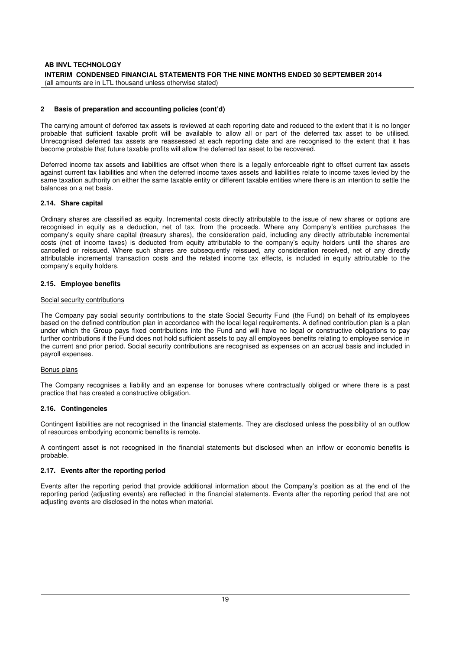The carrying amount of deferred tax assets is reviewed at each reporting date and reduced to the extent that it is no longer probable that sufficient taxable profit will be available to allow all or part of the deferred tax asset to be utilised. Unrecognised deferred tax assets are reassessed at each reporting date and are recognised to the extent that it has become probable that future taxable profits will allow the deferred tax asset to be recovered.

Deferred income tax assets and liabilities are offset when there is a legally enforceable right to offset current tax assets against current tax liabilities and when the deferred income taxes assets and liabilities relate to income taxes levied by the same taxation authority on either the same taxable entity or different taxable entities where there is an intention to settle the balances on a net basis.

#### **2.14. Share capital**

Ordinary shares are classified as equity. Incremental costs directly attributable to the issue of new shares or options are recognised in equity as a deduction, net of tax, from the proceeds. Where any Company's entities purchases the company's equity share capital (treasury shares), the consideration paid, including any directly attributable incremental costs (net of income taxes) is deducted from equity attributable to the company's equity holders until the shares are cancelled or reissued. Where such shares are subsequently reissued, any consideration received, net of any directly attributable incremental transaction costs and the related income tax effects, is included in equity attributable to the company's equity holders.

#### **2.15. Employee benefits**

#### Social security contributions

The Company pay social security contributions to the state Social Security Fund (the Fund) on behalf of its employees based on the defined contribution plan in accordance with the local legal requirements. A defined contribution plan is a plan under which the Group pays fixed contributions into the Fund and will have no legal or constructive obligations to pay further contributions if the Fund does not hold sufficient assets to pay all employees benefits relating to employee service in the current and prior period. Social security contributions are recognised as expenses on an accrual basis and included in payroll expenses.

#### Bonus plans

The Company recognises a liability and an expense for bonuses where contractually obliged or where there is a past practice that has created a constructive obligation.

#### **2.16. Contingencies**

Contingent liabilities are not recognised in the financial statements. They are disclosed unless the possibility of an outflow of resources embodying economic benefits is remote.

A contingent asset is not recognised in the financial statements but disclosed when an inflow or economic benefits is probable.

#### **2.17. Events after the reporting period**

Events after the reporting period that provide additional information about the Company's position as at the end of the reporting period (adjusting events) are reflected in the financial statements. Events after the reporting period that are not adjusting events are disclosed in the notes when material.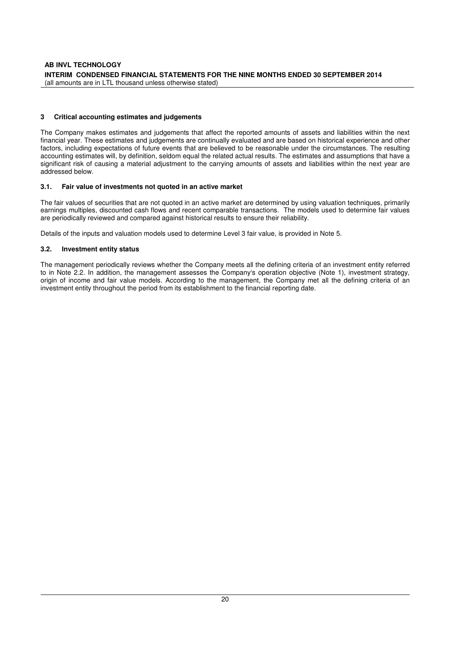## **3 Critical accounting estimates and judgements**

The Company makes estimates and judgements that affect the reported amounts of assets and liabilities within the next financial year. These estimates and judgements are continually evaluated and are based on historical experience and other factors, including expectations of future events that are believed to be reasonable under the circumstances. The resulting accounting estimates will, by definition, seldom equal the related actual results. The estimates and assumptions that have a significant risk of causing a material adjustment to the carrying amounts of assets and liabilities within the next year are addressed below.

#### **3.1. Fair value of investments not quoted in an active market**

The fair values of securities that are not quoted in an active market are determined by using valuation techniques, primarily earnings multiples, discounted cash flows and recent comparable transactions. The models used to determine fair values are periodically reviewed and compared against historical results to ensure their reliability.

Details of the inputs and valuation models used to determine Level 3 fair value, is provided in Note 5.

#### **3.2. Investment entity status**

The management periodically reviews whether the Company meets all the defining criteria of an investment entity referred to in Note 2.2. In addition, the management assesses the Company's operation objective (Note 1), investment strategy, origin of income and fair value models. According to the management, the Company met all the defining criteria of an investment entity throughout the period from its establishment to the financial reporting date.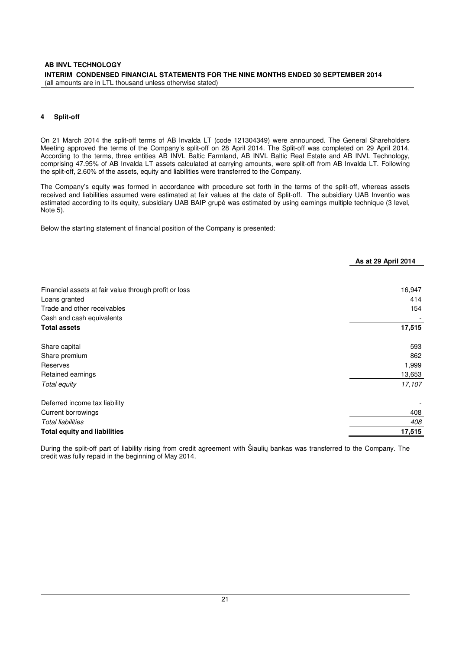## **4 Split-off**

On 21 March 2014 the split-off terms of AB Invalda LT (code 121304349) were announced. The General Shareholders Meeting approved the terms of the Company's split-off on 28 April 2014. The Split-off was completed on 29 April 2014. According to the terms, three entities AB INVL Baltic Farmland, AB INVL Baltic Real Estate and AB INVL Technology, comprising 47.95% of AB Invalda LT assets calculated at carrying amounts, were split-off from AB Invalda LT. Following the split-off, 2.60% of the assets, equity and liabilities were transferred to the Company.

The Company's equity was formed in accordance with procedure set forth in the terms of the split-off, whereas assets received and liabilities assumed were estimated at fair values at the date of Split-off. The subsidiary UAB Inventio was estimated according to its equity, subsidiary UAB BAIP grupė was estimated by using earnings multiple technique (3 level, Note 5).

Below the starting statement of financial position of the Company is presented:

| Financial assets at fair value through profit or loss | 16,947 |
|-------------------------------------------------------|--------|
| Loans granted                                         | 414    |
| Trade and other receivables                           | 154    |
| Cash and cash equivalents                             |        |
| <b>Total assets</b>                                   | 17,515 |
| Share capital                                         | 593    |
| Share premium                                         | 862    |
| Reserves                                              | 1,999  |
| Retained earnings                                     | 13,653 |
| Total equity                                          | 17,107 |
| Deferred income tax liability                         |        |
| <b>Current borrowings</b>                             | 408    |
| Total liabilities                                     | 408    |
| <b>Total equity and liabilities</b>                   | 17,515 |

**As at 29 April 2014** 

During the split-off part of liability rising from credit agreement with Šiaulių bankas was transferred to the Company. The credit was fully repaid in the beginning of May 2014.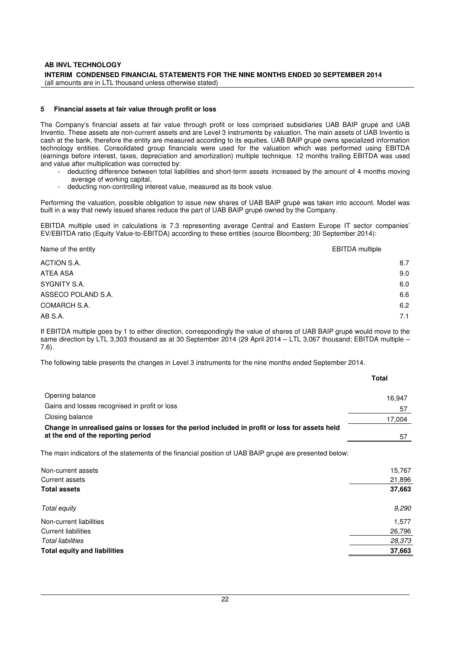#### **AB INVL TECHNOLOGY INTERIM CONDENSED FINANCIAL STATEMENTS FOR THE NINE MONTHS ENDED 30 SEPTEMBER 2014**  (all amounts are in LTL thousand unless otherwise stated)

### **5 Financial assets at fair value through profit or loss**

The Company's financial assets at fair value through profit or loss comprised subsidiaries UAB BAIP grupė and UAB Inventio. These assets ate non-current assets and are Level 3 instruments by valuation. The main assets of UAB Inventio is cash at the bank, therefore the entity are measured according to its equities. UAB BAIP grupė owns specialized information technology entities. Consolidated group financials were used for the valuation which was performed using EBITDA (earnings before interest, taxes, depreciation and amortization) multiple technique. 12 months trailing EBITDA was used and value after multiplication was corrected by:

- deducting difference between total liabilities and short-term assets increased by the amount of 4 months moving average of working capital,
- deducting non-controlling interest value, measured as its book value.

Performing the valuation, possible obligation to issue new shares of UAB BAIP grupė was taken into account. Model was built in a way that newly issued shares reduce the part of UAB BAIP grupė owned by the Company.

EBITDA multiple used in calculations is 7.3 representing average Central and Eastern Europe IT sector companies' EV/EBITDA ratio (Equity Value-to-EBITDA) according to these entities (source Bloomberg; 30 September 2014):

| Name of the entity | <b>EBITDA</b> multiple |
|--------------------|------------------------|
| ACTION S.A.        | 8.7                    |
| ATEA ASA           | 9.0                    |
| SYGNITY S.A.       | 6.0                    |
| ASSECO POLAND S.A. | 6.6                    |
| COMARCH S.A.       | 6.2                    |
| AB S.A.            | 7.1                    |

If EBITDA multiple goes by 1 to either direction, correspondingly the value of shares of UAB BAIP grupė would move to the same direction by LTL 3,303 thousand as at 30 September 2014 (29 April 2014 – LTL 3,067 thousand; EBITDA multiple – 7.6).

The following table presents the changes in Level 3 instruments for the nine months ended September 2014.

|                                                                                                | TUIdI  |
|------------------------------------------------------------------------------------------------|--------|
| Opening balance                                                                                | 16.947 |
| Gains and losses recognised in profit or loss                                                  | 57     |
| Closing balance                                                                                | 17.004 |
| Change in unrealised gains or losses for the period included in profit or loss for assets held |        |
| at the end of the reporting period                                                             | 57     |

**Total**

The main indicators of the statements of the financial position of UAB BAIP grupė are presented below:

| Non-current assets                  | 15,767 |
|-------------------------------------|--------|
| Current assets                      | 21,896 |
| <b>Total assets</b>                 | 37,663 |
| Total equity                        | 9,290  |
| Non-current liabilities             | 1,577  |
| <b>Current liabilities</b>          | 26,796 |
| <b>Total liabilities</b>            | 28,373 |
| <b>Total equity and liabilities</b> | 37,663 |
|                                     |        |